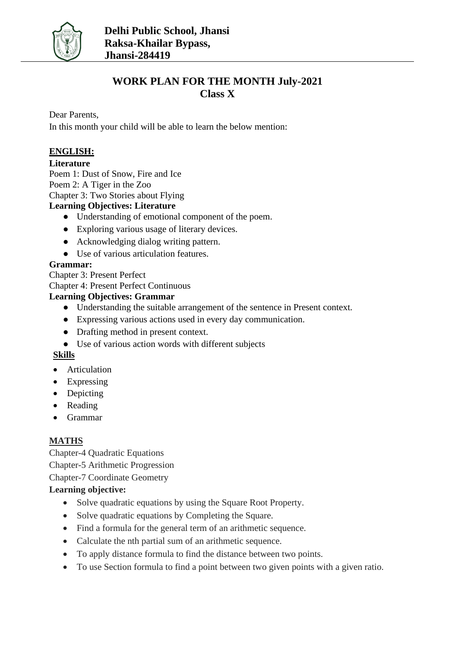

## **WORK PLAN FOR THE MONTH July-2021 Class X**

Dear Parents,

In this month your child will be able to learn the below mention:

## **ENGLISH:**

## **Literature**

Poem 1: Dust of Snow, Fire and Ice Poem 2: A Tiger in the Zoo

Chapter 3: Two Stories about Flying

## **Learning Objectives: Literature**

- Understanding of emotional component of the poem.
- Exploring various usage of literary devices.
- Acknowledging dialog writing pattern.
- Use of various articulation features.

## **Grammar:**

Chapter 3: Present Perfect

Chapter 4: Present Perfect Continuous

## **Learning Objectives: Grammar**

- Understanding the suitable arrangement of the sentence in Present context.
- Expressing various actions used in every day communication.
- Drafting method in present context.
- Use of various action words with different subjects

## **Skills**

- Articulation
- Expressing
- Depicting
- Reading
- Grammar

## **MATHS**

Chapter-4 Quadratic Equations Chapter-5 Arithmetic Progression Chapter-7 Coordinate Geometry

## **Learning objective:**

- Solve quadratic equations by using the Square Root Property.
- Solve quadratic equations by Completing the Square.
- Find a formula for the general term of an arithmetic sequence.
- Calculate the nth partial sum of an arithmetic sequence.
- To apply distance formula to find the distance between two points.
- To use Section formula to find a point between two given points with a given ratio.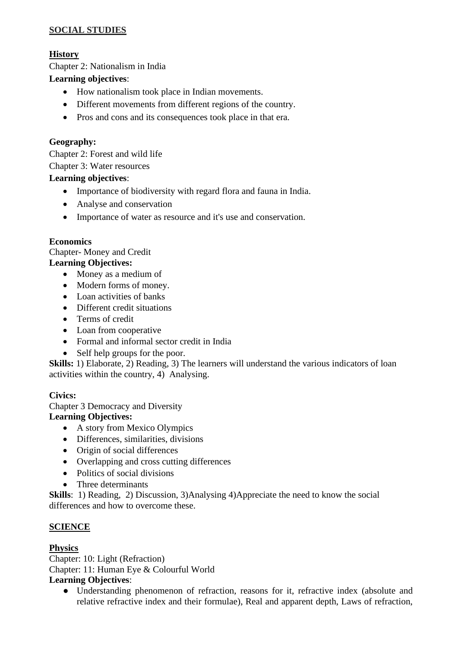## **SOCIAL STUDIES**

## **History**

Chapter 2: Nationalism in India

#### **Learning objectives**:

- How nationalism took place in Indian movements.
- Different movements from different regions of the country.
- Pros and cons and its consequences took place in that era.

## **Geography:**

Chapter 2: Forest and wild life

Chapter 3: Water resources

#### **Learning objectives**:

- Importance of biodiversity with regard flora and fauna in India.
- Analyse and conservation
- Importance of water as resource and it's use and conservation.

#### **Economics**

Chapter- Money and Credit

#### **Learning Objectives:**

- Money as a medium of
- Modern forms of money.
- Loan activities of banks
- Different credit situations
- Terms of credit
- Loan from cooperative
- Formal and informal sector credit in India
- Self help groups for the poor.

**Skills:** 1) Elaborate, 2) Reading, 3) The learners will understand the various indicators of loan activities within the country, 4) Analysing.

#### **Civics:**

Chapter 3 Democracy and Diversity **Learning Objectives:**

- A story from Mexico Olympics
- Differences, similarities, divisions
- Origin of social differences
- Overlapping and cross cutting differences
- Politics of social divisions
- Three determinants

**Skills**: 1) Reading, 2) Discussion, 3)Analysing 4)Appreciate the need to know the social differences and how to overcome these.

#### **SCIENCE**

#### **Physics**

Chapter: 10: Light (Refraction) Chapter: 11: Human Eye & Colourful World **Learning Objectives**:

● Understanding phenomenon of refraction, reasons for it, refractive index (absolute and relative refractive index and their formulae), Real and apparent depth, Laws of refraction,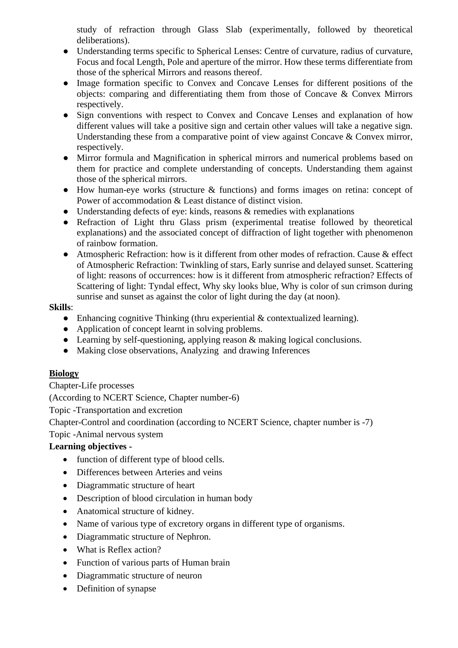study of refraction through Glass Slab (experimentally, followed by theoretical deliberations).

- Understanding terms specific to Spherical Lenses: Centre of curvature, radius of curvature, Focus and focal Length, Pole and aperture of the mirror. How these terms differentiate from those of the spherical Mirrors and reasons thereof.
- Image formation specific to Convex and Concave Lenses for different positions of the objects: comparing and differentiating them from those of Concave & Convex Mirrors respectively.
- Sign conventions with respect to Convex and Concave Lenses and explanation of how different values will take a positive sign and certain other values will take a negative sign. Understanding these from a comparative point of view against Concave & Convex mirror, respectively.
- Mirror formula and Magnification in spherical mirrors and numerical problems based on them for practice and complete understanding of concepts. Understanding them against those of the spherical mirrors.
- How human-eye works (structure & functions) and forms images on retina: concept of Power of accommodation & Least distance of distinct vision.
- Understanding defects of eye: kinds, reasons  $\&$  remedies with explanations
- Refraction of Light thru Glass prism (experimental treatise followed by theoretical explanations) and the associated concept of diffraction of light together with phenomenon of rainbow formation.
- Atmospheric Refraction: how is it different from other modes of refraction. Cause & effect of Atmospheric Refraction: Twinkling of stars, Early sunrise and delayed sunset. Scattering of light: reasons of occurrences: how is it different from atmospheric refraction? Effects of Scattering of light: Tyndal effect, Why sky looks blue, Why is color of sun crimson during sunrise and sunset as against the color of light during the day (at noon).

#### **Skills**:

- Enhancing cognitive Thinking (thru experiential  $&$  contextualized learning).
- Application of concept learnt in solving problems.
- Learning by self-questioning, applying reason & making logical conclusions.
- Making close observations, Analyzing and drawing Inferences

## **Biology**

Chapter-Life processes

(According to NCERT Science, Chapter number-6)

Topic -Transportation and excretion

Chapter-Control and coordination (according to NCERT Science, chapter number is -7)

Topic -Animal nervous system

#### **Learning objectives -**

- function of different type of blood cells.
- Differences between Arteries and veins
- Diagrammatic structure of heart
- Description of blood circulation in human body
- Anatomical structure of kidney.
- Name of various type of excretory organs in different type of organisms.
- Diagrammatic structure of Nephron.
- What is Reflex action?
- Function of various parts of Human brain
- Diagrammatic structure of neuron
- Definition of synapse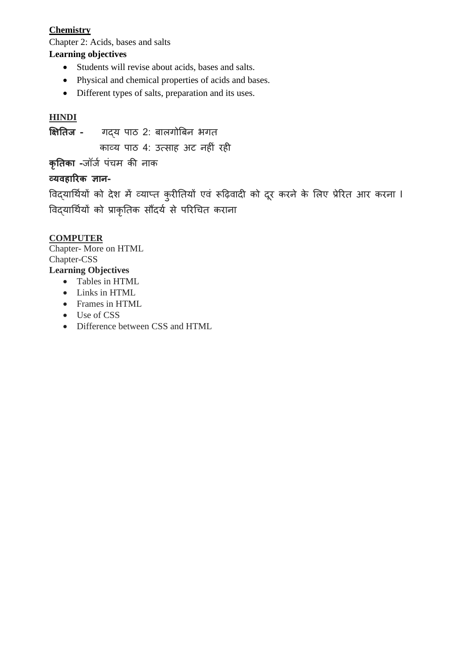## **Chemistry**

Chapter 2: Acids, bases and salts

## **Learning objectives**

- Students will revise about acids, bases and salts.
- Physical and chemical properties of acids and bases.
- Different types of salts, preparation and its uses.

## **HINDI**

**क्षितिज -** गद्य पाठ 2: बालगोबबन भगत

काव्य पाठ 4: उत्साह अट नहीं रही

**कृतिका -**जॉजज पींचम की नाक

## **व्यवहारिक ज्ञान-**

```
विद्यार्थियों को देश में व्याप्त कुरीतियों एवं रूढ़िवादी को दूर करने के लिए प्रेरित आर करना I
विद्यार्थियों को प्राकृतिक सौंदर्य से परिचित कराना
```
## **COMPUTER**

Chapter- More on HTML Chapter-CSS **Learning Objectives**

- Tables in HTML
- Links in HTML
- Frames in HTML
- Use of CSS
- Difference between CSS and HTML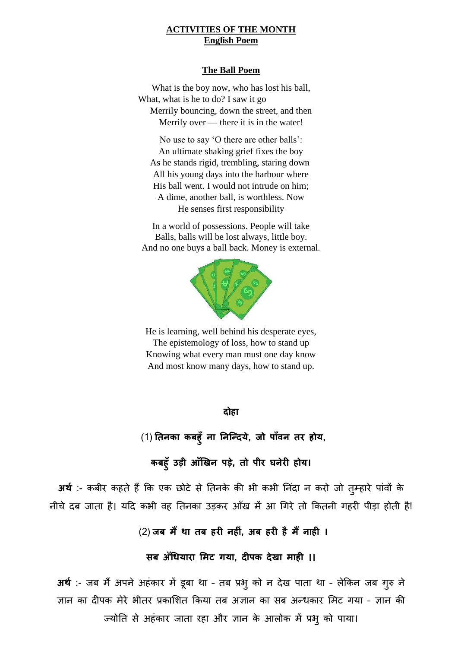#### **ACTIVITIES OF THE MONTH English Poem**

#### **The Ball Poem**

What is the boy now, who has lost his ball, What, what is he to do? I saw it go Merrily bouncing, down the street, and then Merrily over — there it is in the water!

No use to say 'O there are other balls': An ultimate shaking grief fixes the boy As he stands rigid, trembling, staring down All his young days into the harbour where His ball went. I would not intrude on him; A dime, another ball, is worthless. Now He senses first responsibility

In a world of possessions. People will take Balls, balls will be lost always, little boy. And no one buys a ball back. Money is external.



He is learning, well behind his desperate eyes, The epistemology of loss, how to stand up Knowing what every man must one day know And most know many days, how to stand up.

**दोहा**

(1) **तिनका कबह ुँना तनन्ददये, जो पाुँवन िि होय,** 

**कबह ुँउड़ी आुँखिन पडे, िो प़ीि घनेिी होय।**

**अर्थ** :- कबीर कहते हैं कि एक छोटे से तिनके की भी कभी निंदा न करो जो तुम्हारे पांवों के नीचे दब जाता है। यदि कभी वह तिनका उड़कर आँख में आ गिरे तो कितनी गहरी पीड़ा होती है!

(2) **जब मैंर्ा िब हिी नहीीं, अब हिी हैमैंनाही ।**

**सब अुँधियािा ममट गया, दीपक देिा माही ।।**

**अर्थ** :- जब मैंअपने अहींकार में डूबा था – तब प्रभुको न देख पाता था – लेककन जब गुरु ने ज्ञान का दीपक मेरे भीतर प्रकाशित किया तब अज्ञान का सब अन्धकार मिट गया - ज्ञान की ज्योति से अहंकार जाता रहा और ज्ञान के आलोक में प्रभु को पाया।